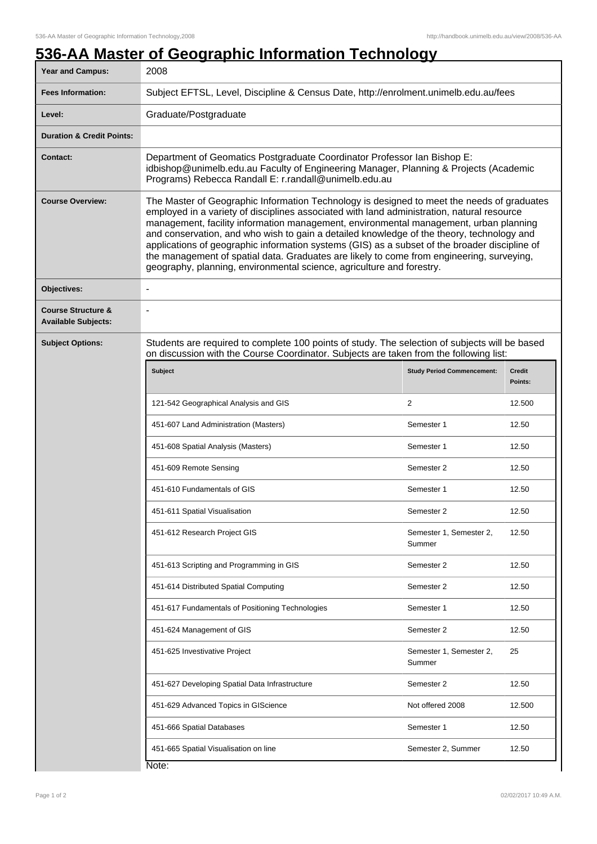## **536-AA Master of Geographic Information Technology**

| <b>Year and Campus:</b>                                     | 2008                                                                                                                                                                                                                                                                                                                                                                                                                                                                                                                                                                                                                                                  |                                   |                   |
|-------------------------------------------------------------|-------------------------------------------------------------------------------------------------------------------------------------------------------------------------------------------------------------------------------------------------------------------------------------------------------------------------------------------------------------------------------------------------------------------------------------------------------------------------------------------------------------------------------------------------------------------------------------------------------------------------------------------------------|-----------------------------------|-------------------|
| <b>Fees Information:</b>                                    | Subject EFTSL, Level, Discipline & Census Date, http://enrolment.unimelb.edu.au/fees                                                                                                                                                                                                                                                                                                                                                                                                                                                                                                                                                                  |                                   |                   |
| Level:                                                      | Graduate/Postgraduate                                                                                                                                                                                                                                                                                                                                                                                                                                                                                                                                                                                                                                 |                                   |                   |
| <b>Duration &amp; Credit Points:</b>                        |                                                                                                                                                                                                                                                                                                                                                                                                                                                                                                                                                                                                                                                       |                                   |                   |
| <b>Contact:</b>                                             | Department of Geomatics Postgraduate Coordinator Professor Ian Bishop E:<br>idbishop@unimelb.edu.au Faculty of Engineering Manager, Planning & Projects (Academic<br>Programs) Rebecca Randall E: r.randall@unimelb.edu.au                                                                                                                                                                                                                                                                                                                                                                                                                            |                                   |                   |
| <b>Course Overview:</b>                                     | The Master of Geographic Information Technology is designed to meet the needs of graduates<br>employed in a variety of disciplines associated with land administration, natural resource<br>management, facility information management, environmental management, urban planning<br>and conservation, and who wish to gain a detailed knowledge of the theory, technology and<br>applications of geographic information systems (GIS) as a subset of the broader discipline of<br>the management of spatial data. Graduates are likely to come from engineering, surveying,<br>geography, planning, environmental science, agriculture and forestry. |                                   |                   |
| Objectives:                                                 | $\blacksquare$                                                                                                                                                                                                                                                                                                                                                                                                                                                                                                                                                                                                                                        |                                   |                   |
| <b>Course Structure &amp;</b><br><b>Available Subjects:</b> |                                                                                                                                                                                                                                                                                                                                                                                                                                                                                                                                                                                                                                                       |                                   |                   |
| <b>Subject Options:</b>                                     | Students are required to complete 100 points of study. The selection of subjects will be based<br>on discussion with the Course Coordinator. Subjects are taken from the following list:                                                                                                                                                                                                                                                                                                                                                                                                                                                              |                                   |                   |
|                                                             | <b>Subject</b>                                                                                                                                                                                                                                                                                                                                                                                                                                                                                                                                                                                                                                        | <b>Study Period Commencement:</b> | Credit<br>Points: |
|                                                             | 121-542 Geographical Analysis and GIS                                                                                                                                                                                                                                                                                                                                                                                                                                                                                                                                                                                                                 | 2                                 | 12.500            |
|                                                             | 451-607 Land Administration (Masters)                                                                                                                                                                                                                                                                                                                                                                                                                                                                                                                                                                                                                 | Semester 1                        | 12.50             |
|                                                             | 451-608 Spatial Analysis (Masters)                                                                                                                                                                                                                                                                                                                                                                                                                                                                                                                                                                                                                    | Semester 1                        | 12.50             |
|                                                             | 451-609 Remote Sensing                                                                                                                                                                                                                                                                                                                                                                                                                                                                                                                                                                                                                                | Semester 2                        | 12.50             |
|                                                             | 451-610 Fundamentals of GIS                                                                                                                                                                                                                                                                                                                                                                                                                                                                                                                                                                                                                           | Semester 1                        | 12.50             |
|                                                             | 451-611 Spatial Visualisation                                                                                                                                                                                                                                                                                                                                                                                                                                                                                                                                                                                                                         | Semester 2                        | 12.50             |
|                                                             | 451-612 Research Project GIS                                                                                                                                                                                                                                                                                                                                                                                                                                                                                                                                                                                                                          | Semester 1, Semester 2,<br>Summer | 12.50             |
|                                                             | 451-613 Scripting and Programming in GIS                                                                                                                                                                                                                                                                                                                                                                                                                                                                                                                                                                                                              | Semester 2                        | 12.50             |
|                                                             | 451-614 Distributed Spatial Computing                                                                                                                                                                                                                                                                                                                                                                                                                                                                                                                                                                                                                 | Semester 2                        | 12.50             |
|                                                             | 451-617 Fundamentals of Positioning Technologies                                                                                                                                                                                                                                                                                                                                                                                                                                                                                                                                                                                                      | Semester 1                        | 12.50             |
|                                                             | 451-624 Management of GIS                                                                                                                                                                                                                                                                                                                                                                                                                                                                                                                                                                                                                             | Semester 2                        | 12.50             |
|                                                             | 451-625 Investivative Project                                                                                                                                                                                                                                                                                                                                                                                                                                                                                                                                                                                                                         | Semester 1, Semester 2,<br>Summer | 25                |
|                                                             | 451-627 Developing Spatial Data Infrastructure                                                                                                                                                                                                                                                                                                                                                                                                                                                                                                                                                                                                        | Semester 2                        | 12.50             |
|                                                             | 451-629 Advanced Topics in GIScience                                                                                                                                                                                                                                                                                                                                                                                                                                                                                                                                                                                                                  | Not offered 2008                  | 12.500            |
|                                                             | 451-666 Spatial Databases                                                                                                                                                                                                                                                                                                                                                                                                                                                                                                                                                                                                                             | Semester 1                        | 12.50             |
|                                                             | 451-665 Spatial Visualisation on line                                                                                                                                                                                                                                                                                                                                                                                                                                                                                                                                                                                                                 | Semester 2, Summer                | 12.50             |
|                                                             | Note:                                                                                                                                                                                                                                                                                                                                                                                                                                                                                                                                                                                                                                                 |                                   |                   |